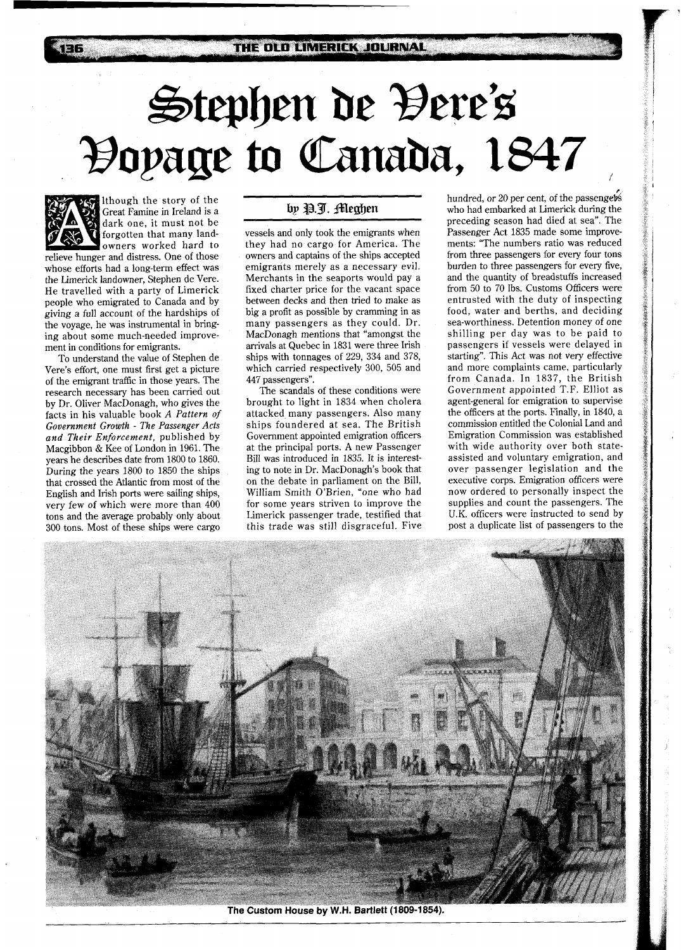### THE OLD LIMERICK JOURNAL

# Stephen de Vere's Boyage to Canada, 1847



#### lthough the story of the Great Famine in Ireland is a dark one, it must not be forgotten that many landowners worked hard to

relieve hunger and distress. One of those whose efforts had a long-term effect was the Limerick landowner, Stephen de Vere. He travelled with a party of Limerick people who emigrated to Canada and by giving a full account of the hardships of the voyage, he was instrumental in bringing about some much-needed improvement in conditions for emigrants.

To understand the value of Stephen de Vere's effort, one must first get a picture of the emigrant traffic in those years. The research necessary has been carried out by Dr. Oliver MacDonagh, who gives the facts in his valuable book *A Pattern of Government Growth* - *The Passenger Acts and Their Enforcement,* published by Macgibbon & Kee of London in 1961. The years he describes date from 1800 to 1860. During the years 1800 to 1850 the ships that crossed the Atlantic from most of the English and Irish ports were sailing ships, very few of which were more than 400 tons and the average probably only about 300 tons. Most of these ships were cargo

## by P.J. Meahen

vessels and only took the emigrants when they had no cargo for America. The owners and captains of the ships accepted emigrants merely as a necessary evil. Merchants in the seaports would pay a fixed charter price for the vacant space between decks and then tried to make as big a profit as possible by cramming in as many passengers as they could. Dr. MacDonagh mentions that "amongst the arrivals at Quebec in 1831 were three Irish ships with tonnages of 229, 334 and 378, which carried respectively 300, 505 and 447 passengers".

The scandals of these conditions were brought to light in 1834 when cholera attacked many passengers. Also many ships foundered at sea. The British Government appointed emigration officers at the principal ports. A new Passenger Bill was introduced in 1835. It is interesting to note in Dr. MacDonagh's book that on the debate in parliament on the Bill, William Smith O'Brien, "one who had for some years striven to improve the Limerick passenger trade, testified that this trade was still disgraceful. Five

**p.**  hundred, or 20 per cent, of the passengebs who had embarked at Limerick during the preceding season had died at sea". The Passenger Act 1835 made some improvements: 'The numbers ratio was reduced from three passengers for every four tons burden to three passengers for every five, and the quantity of breadstuffs increased from 50 to 70 lbs. Customs Officers were entrusted with the duty of inspecting food, water and berths, and deciding sea-worthiness. Detention money of one shilling per day was to be paid to passengers if vessels were delayed in starting". This Act was not very effective and more complaints came, particularly from Canada. In 1837, the British Government appointed T.F. Elliot as agent-general for emigration to supervise the officers at the ports. Finally, in 1840, a commission entitled the Colonial Land and Emigration Commission was established with wide authority over both stateassisted and voluntary emigration, and over passenger legislation and the executive corps. Emigration officers were now ordered to personally inspect the supplies and count the passengers. The U.K. officers were instructed to send by post a duplicate list of passengers to the

**i** 



The Custom House by W.H. Bartlett (1809-1854).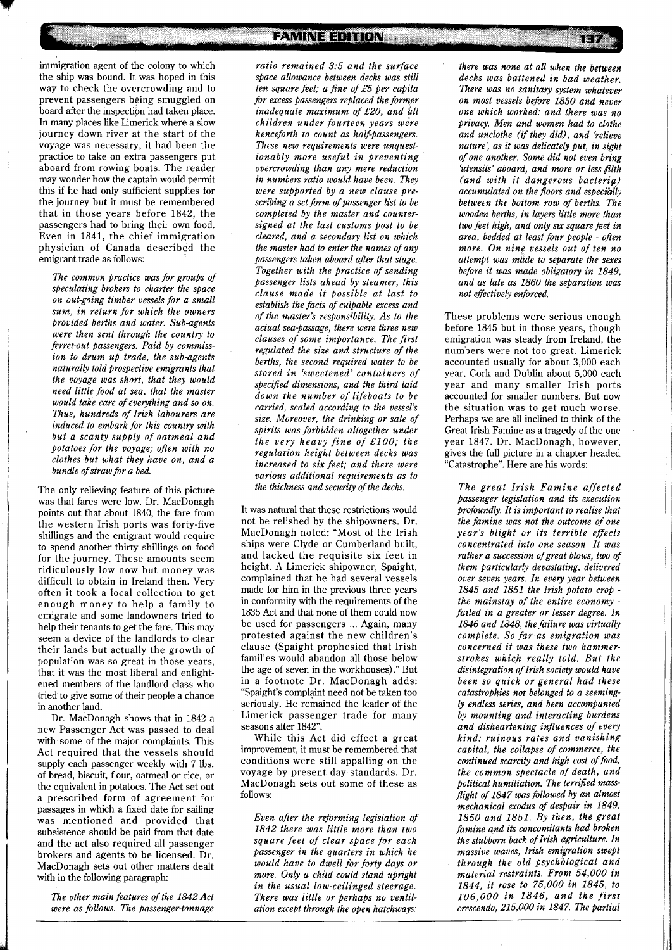immigration agent of the colony to which the ship was bound. It was hoped in this way to check the overcrowding and to prevent passengers being smuggled on board after the inspection had taken place. In many places like Limerick where a slow journey down river at the start of the voyage was necessary, it had been the practice to take on extra passengers put aboard from rowing boats. The reader may wonder how the captain would permit this if he had only sufficient supplies for the journey but it must be remembered that in those years before 1842, the passengers had to bring their own food. Even in 1841, the chief immigration physician of Canada described the emigrant trade as follows:

*The common practice was for groups of speculating brokers to charter the space on out-going timber vessels for a small sum, in return for which the owners provided berths and water. Sub-agents were then sent through the country to ferret-out passengers. Paid by commission to drum up trade, the sub-agents naturally told prospective emigrants that the voyage was short, that they would need little food at sea, that the master would take care of everything and so on. Thus, hundreds of Irish labourers are induced to embark for this country with but a scanty supply of oatmeal and potatoes for the voyage; often with no clothes but what they have on, and a bundle of straw for a bed.* 

The only relieving feature of this picture was that fares were low. Dr. MacDonagh points out that about 1840, the fare from the western Irish ports was forty-five shillings and the emigrant would require to spend another thirty shillings on food for the journey. These amounts seem ridiculously low now but money was difficult to obtain in Ireland then. Very often it took a local collection to get enough money to help a family to emigrate and some landowners tried to help their tenants to get the fare. This may seem a device of the landlords to clear their lands but actually the growth of population was so great in those years, that it was the most liberal and enlightened members of the landlord class who tried to give some of their people a chance in another land.

Dr. MacDonagh shows that in 1842 a new Passenger Act was passed to deal with some of the major complaints. This Act required that the vessels should supply each passenger weekly with 7 lbs. of bread, biscuit, flour, oatmeal or rice, or the equivalent in potatoes. The Act set out a prescribed form of agreement for passages in which a fixed date for sailing was mentioned and provided that subsistence should be paid from that date and the act also required all passenger brokers and agents to be licensed. Dr. MacDonagh sets out other matters dealt with in the following paragraph:

*The other main features of the 1842 Act were as follows. The passenger-tonnage* 

*ratio remained 3:5 and the surface space allowance between decks was still ten square feet; a fine of £5 per capita for excess passengers replaced the former inadequate maximum of £20, and all children under fourteen years were henceforth to count as half-passengers. These new requirements were unquestionably more useful in preventing overcrowding than any mere reduction in numbers ratio would have been. They were supported by a new clause prescribing a set form of passenger list to be completed by the master and countersigned at the last customs post to be cleared, and a secondary list on which the master had to enter the names of any passengers taken aboard after that stage. Together with the practice of sending passenger lists ahead by steamer, this clause made it possible at last to establish the facts of culpable excess and of the master's responsibility. As to the actual sea-passage, there were three new clauses of some importance. The first regulated the size and structure of the berths, the second required water to be stored in 'sweetened' containers of*  specified dimensions, and the third laid *down the number of lifeboats to be carried, scaled according to the vessel's size. Moreover, the drinking or sale of spirits was forbidden altogether under the very heavy fine of £100; the regulation height between decks was increased to six feet; and there were various additional requirements as to the thickness and security of the decks.* 

It was natural that these restrictions would not be relished by the shipowners. Dr. MacDonagh noted: "Most of the Irish ships were Clyde or Cumberland built, and lacked the requisite six feet in height. A Limerick shipowner, Spaight, complained that he had several vessels made for him in the previous three years in conformity with the requirements of the 1835 Act and that none of them could now be used for passengers ... Again, many protested against the new children's clause (Spaight prophesied that Irish families would abandon all those below the age of seven in the workhouses)." But in a footnote Dr. MacDonagh adds: "Spaight's complaint need not be taken too seriously. He remained the leader of the Limerick passenger trade for many seasons after 1842".

While this Act did effect a great improvement, it must be remembered that conditions were still appalling on the voyage by present day standards. Dr. MacDonagh sets out some of these as follows:

*Even after the reforming legislation of 1842 there was little more than two square feet of clear space for each passenger in the quarters in which he would have to dwell for forty days or more. Only a child could stand upright in the usual low-ceilinged steerage. There was little or perhaps no ventilation except through the open hatchways:* 

*there was none at all when the between decks was battened in bad weather. There was no sanitary system whatever on most vessels before 1850 and never one which worked: and there was no privacy. Men and women had to clothe and unclothe (if they did), and 'relieve nature', as it was delicately put, in sight of one another. Some did not even bring 'utensils' aboard, and more or less filth (and with it dangerous bacteria) accumulated on the floors and especially between the bottom row of berths. The wooden berths, in layers little more than two feet high, and only six square feet in area, bedded at least four people* - *often more. On nine vessels out of ten no attempt was made to separate the sexes before it was made obligatory in 1849, and as late as 1860 the separation was not efectively enforced.* 

These problems were serious enough before 1845 but in those years, though emigration was steady from Ireland, the numbers were not too great. Limerick accounted usually for about 3,000 each year, Cork and Dublin about 5,000 each year and many smaller Irish ports accounted for smaller numbers. But now the situation was to get much worse. Perhaps we are all inclined to think of the Great Irish Famine as a tragedy of the one year 1847. Dr. MacDonagh, however, gives the full picture in a chapter headed "Catastrophe". Here are his words:

*The great Irish Famine affected passenger legislation and its execution profoundly. It is important to realise that the famine was not the outcome of one year's blight or its terrible effects concentrated into one season. It was rather a succession of great blows, two of them particularly devastating, delivered over seven years. In every year between 1845 and 1851 the Irish potato crop the mainstay of the entire economy failed in a greater or lesser degree. In 1846 and 1848, the failure was virtually complete. So far as emigration was concerned it was these two hammerstrokes which really told. But the disintegration of Irish society would have been so quick or general had these catastrophies not belonged to a seemingly endless series, and been accompanied by mounting and interacting burdens and disheartening influences of every kind: ruinous rates and vanishing capital, the collapse of commerce, the continued scarcity and high cost of food, the common spectacle of death, and political humiliation. The terrified massflight of 1847 was followed by an almost mechanical exodus of despair in 1849, 1850 and 1851. By then, the great famine and its concomitants had broken the stubborn back of Irish agriculture. In massive waves, Irish emigration swept through the old psychological and material restraints. From 54,000 in 1844, it rose to 75,000 in 1845, to 106,000 in 1846, and the first crescendo, 215,000 in 1847. The partial*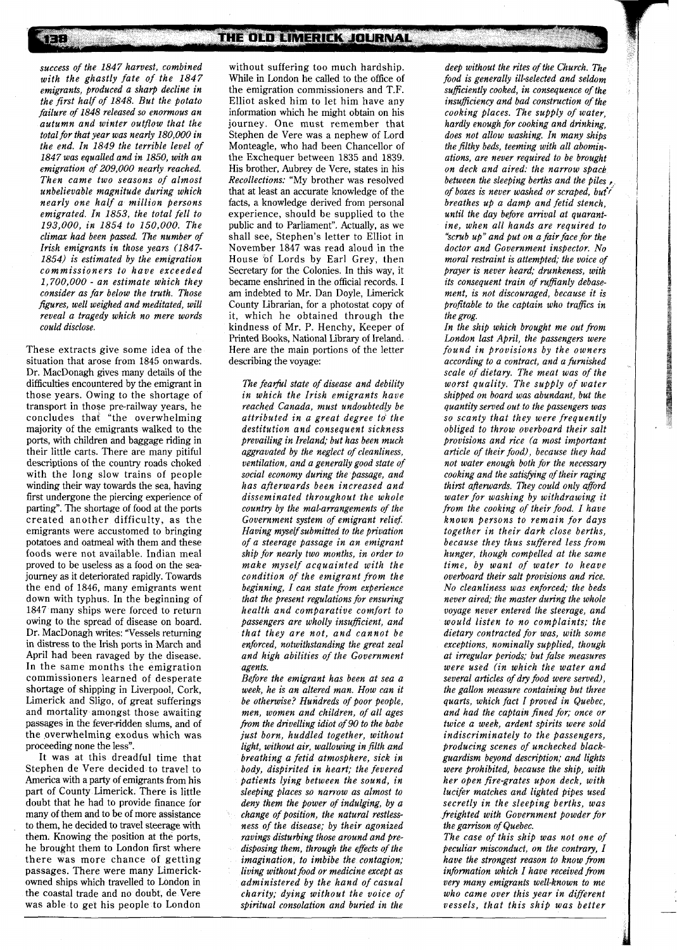*success of the 1847 harvest, combined with the ghastly fate of the 1847 emigrants, produced a sharp decline in the first half of 1848. But the potato failure of 1848 released so enormous an autumn and winter outflow that the total for that year was nearly 180,000 in the end. In 1849 the terrible level of 1847 was equalled and in 1850, with an emigration of 209,000 nearly reached. Then came two seasons of almost unbelievable magnitude during which nearly one half a million persons emigrated. In 1853, the total fell to 193,000, in 1854 to 150,000. The climax had been passed. The number of Irish emigrants in those years (1847- 1854) is estimated by the emigration commissioners to have exceeded 1,700,000* - *an estimate which they consider as far below the truth. Those figures, well weighed and meditated, will reveal a tragedy which no mere words could disclose.* 

定日

These extracts give some idea of the situation that arose from 1845 onwards. Dr. MacDonagh gives many details of the difficulties encountered by the emigrant in those years. Owing to the shortage of transport in those pre-railway years, he concludes that "the overwhelming majority of the emigrants walked to the ports, with children and baggage riding in their little carts. There are many pitiful descriptions of the country roads choked with the long slow trains of people winding their way towards the sea, having first undergone the piercing experience of parting". The shortage of food at the ports created another difficulty, as the emigrants were accustomed to bringing potatoes and oatmeal with them and these foods were not available. Indian meal proved to be useless as a food on the seajourney as it deteriorated rapidly. Towards the end of 1846, many emigrants went down with typhus. In the beginning of 1847 many ships were forced to return owing to the spread of disease on board. Dr. MacDonagh writes: "Vessels returning in distress to the Irish ports in March and April had been ravaged by the disease. In the same months the emigration commissioners learned of desperate shortage of shipping in Liverpool, Cork, Limerick and Sligo, of great sufferings and mortality amongst those awaiting passages in the fever-ridden slums, and of the overwhelming exodus which was proceeding none the less".

It was at this dreadful time that Stephen de Vere decided to travel to America with a party of emigrants from his part of County Limerick. There is little doubt that he had to provide finance for many of them and to be of more assistance to them, he decided to travel steerage with them. Knowing the position at the ports, he brought them to London first where there was more chance of getting passages. There were many Limerickowned ships which travelled to London in the coastal trade and no doubt, de Vere was able to get his people to London

without suffering too much hardship. While in London he called to the office of the emigration commissioners and T.F. Elliot asked him to let him have any information which he might obtain on his journey. One must remember that Stephen de Vere was a nephew of Lord Monteagle, who had been Chancellor of the Exchequer between 1835 and 1839. His brother, Aubrey de Vere, states in his *Recollections:* "My brother was resolved that at least an accurate knowledge of the facts, a knowledge derived from personal experience, should be supplied to the public and to Parliament". Actually, as we shall see, Stephen's letter to Elliot in November 1847 was read aloud in the House of Lords by Earl Grey, then Secretary for the Colonies. In this way, it became enshrined in the official records. I am indebted to Mr. Dan Doyle, Limerick County Librarian, for a photostat copy of it, which he obtained through the kindness of Mr. P. Henchy, Keeper of Printed Books, National Library of Ireland. Here are the main portions of the letter describing the voyage:

*The fearful state of disease and debility in which the Irish emigrants have reached Canada, must undoubtedly be attributed in a great degree to the destitution and consequent sickness prevailing in Ireland; but has been much aggravated by the neglect of cleanliness, ventilation, and a generally good state of social economy during the passage, and has afterwards been increased and disseminated throughout the whole country by the mal-arrangements of the Government system of emigrant relief: Having myself submitted to the privation of a steerage passage in an emigrant ship for nearly two months, in order to make myself acquainted with the condition of the emigrant from the beginning, I can state from experience that the present regulations for ensuring health and comparative comfort to passengers are wholly insufficient, and that they are not, and cannot be enforced, notwithstanding the great zeal and high abilities of the Government agents.* 

*Before the emigrant has been at sea a week, he is an altered man. How can it be otherwise? Hundreds of poor people, men, women and children, of all ages from the drivelling idiot of 90 to the babe just born, huddled together, without light, without air, wallowing in filth and breathing a fetid atmosphere, sick in body, dispirited in heart; the fevered patients lying between the sound, in sleeping places so naryow as almost to deny them the power of indulging, by a change of position, the natural restlessness of the disease; by their agonized ravings disturbing those around and predisposing them, through the effects of the imagination, to imbibe the contagion; living without food or medicine except as administered by the hand of casual charity; dying without the voice of spiritual consolation and buried in the* 

*deep without the rites of the Church. The food is generally ill-selected and seldom sufficiently cooked, in consequence of the insufficiency and bad construction of the cooking places. The supply of water, hardly enough for cooking and drinking, does not allow washing. In many ships the filthy beds, teeming with all abominations, are never required to be brought on deck and aired: the narrow spack between the sleeping berths and the piles* , *of boxes is never washed or scraped, bufi breathes up a damp and fetid stench, until the day before arrival at quarantine, when all hands are required to Scrub up" and put on a fair face for the doctor and Government inspector. No moral restraint is attempted; the voice of prayer is never heard; drunkeness, with its consequent train of ruffianly debasement, is not discouraged, because it is profitable to the captain who traffics in the grog.* 

a a shekarar 2000 da wasan wasan da wasan da wasan da wasan da wasan da wasan da wasan da wasan da wasan da wa

*In the ship which brought me out from London last April, the passengers were found in provisions by the owners according to a contract, and a furnished scale of dietary. The meat was of the worst quality. The supply of water shipped on board was abundant, but the quantity served out to the passengers was so scanty that they were frequently obliged to throw overboard their salt provisions and rice (a most important article of their food), because they had not water enough both for the necessary cooking and the satisfjing of their raging thirst afterwards. They could only afford water for washing by withdrawing it from the cooking of their food. I have known persons to remain for days together in their dark close berths, because they thus suffered less from hunger, though compelled at the same time, by want of water to heave overboard their salt provisions and rice. No cleanliness was enforced; the beds never aired; the master during the whole voyage never entered the steerage, and would listen to no complaints; the dietary contracted for was, with some exceptions, nominally supplied, though at irregular period.; but false measures were used (in which the water and several articles of dry food were served), the gallon measure containing but three quarts, which fact I proved in Quebec, and had the captain fined for; once or twice a week, ardent spirits were sold indiscriminately to the passengers, producing scenes of unchecked blackguardism beyond description; and lights were prohibited, because the ship, with her open fire-grates upon deck, with lucifer matches and lighted pipes used secretly in the sleeping berths, was freighted with Government powder for the garrison of Quebec.* 

*The case of this ship was not one of peculiar miscondut, on the contrary, I have the strongest reason to know from infornation which I have received from very many emigrants well-known to me who came over this year in different vessels, that this ship was better*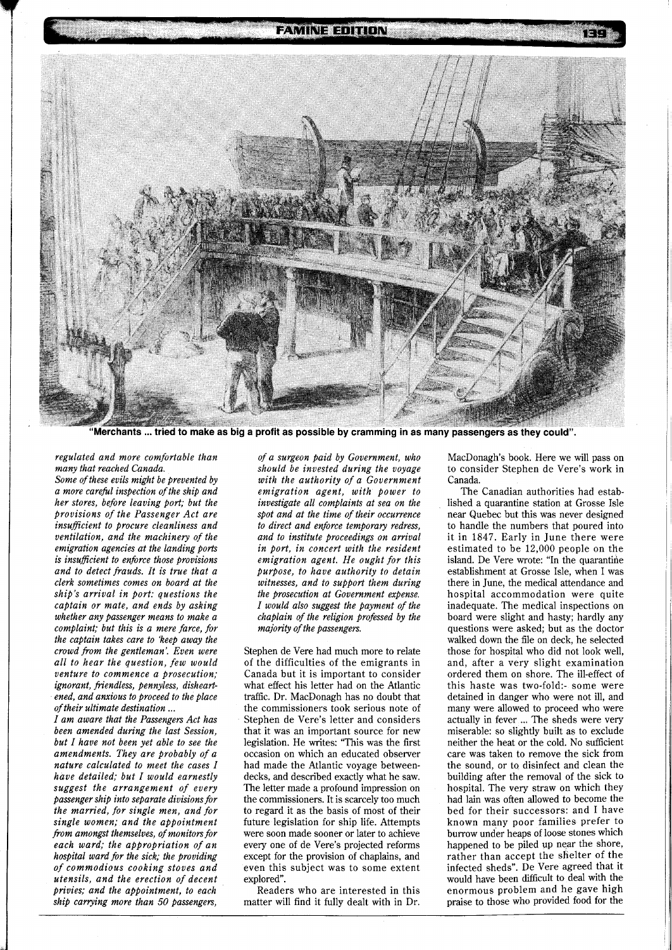

"Merchants ... tried to make as big a profit as possible by cramming in as many passengers as they could".

*regulated and more comfortable than many that reached Canada.* 

*Some of these evils might be prevented by a more careful inspection of the ship and her stores, before leaving port; but the provisions of the Passenger Act are insuficient to procure cleanliness and ventilation, and the machinery of the emigration agencies at the landing ports is insufficient to enforce those provisions and to detect frauds. It is true that a clerk sometimes comes on board at the ship's arrival in port: questions the captain or mate, and ends by asking whether any passenger means to make a complaint; but this is a mere farce, for the captain takes care to 'keep away the crowd from the gentleman: Even were all to hear the question, few would venture to commence a prosecution; ignorant, friendless, pennyless, disheartened, and anxious to proceed to the place of their ultimate destination* ...

*I am aware that the Passengers Act has been amended during the last Session, but I have not been yet able to see the amendments. They are probably of a nature calculated to meet the cases I have detailed; but I would earnestly suggest the arrangement of every passenger ship into separate divisions for the married, for single men, and for single women; and the appointment from amongst themselves, of monitors fir each ward; the appropriation of an hospital ward for the sick; the providing of commodious cooking stoves and utensils, and the erection of decent privies; and the appointment, to each ship carrying more than 50 passengers,* 

*of a surgeon paid by Government, who should be invested during the voyage with the authority of a Government emigration agent, with power to investigate all complaints at sea on the spot and at the time of their occurrence to direct and enforce temporary redress, and to institute proceedings on arrival in port, in concert with the resident emigration agent. He ought for this purpose, to have authority to detain witnesses, and to support them during the prosecution at Government expense. I would also suggest the payment of the chaplain of the religion professed by the majom'ty of the passengers.* 

Stephen de Vere had much more to relate of the difficulties of the emigrants in Canada but it is important to consider what effect his letter had on the Atlantic traftic. Dr. MacDonagh has no doubt that the commissioners took serious note of Stephen de Vere's letter and considers that it was an important source for new legislation. He writes: "This was the first occasion on which an educated observer had made the Atlantic voyage betweendecks, and described exactly what he saw. The letter made a profound impression on the commissioners. It is scarcely too much to regard it as the basis of most of their future legislation for ship life. Attempts were soon made sooner or later to achieve every one of de Vere's projected reforms except for the provision of chaplains, and even this subject was to some extent explored".

Readers who are interested in this matter will find it fully dealt with in Dr. MacDonagh's book. Here we will pass on to consider Stephen de Vere's work in Canada.

The Canadian authorities had established a quarantine station at Grosse Isle near Quebec but this was never designed to handle the numbers that poured into it in 1847. Early in June there were estimated to be 12,000 people on the island. De Vere wrote: "In the quarantine establishment at Grosse Isle, when I was there in June, the medical attendance and hospital accommodation were quite inadequate. The medical inspections on board were slight and hasty; hardly any questions were asked; but as the doctor walked down the file on deck, he selected those for hospital who did not look well, and, after a very slight examination ordered them on shore. The ill-effect of this haste was two-fold:- some were detained in danger who were not ill, and many were allowed to proceed who were actually in fever ... The sheds were very miserable: so slightly built as to exclude neither the heat or the cold. No sufficient care was taken to remove the sick from the sound, or to disinfect and clean the building after the removal of the sick to hospital. The very straw on which they had lain was often allowed to become the bed for their successors: and I have known many poor families prefer to burrow under heaps of loose stones which happened to be piled up near the shore, rather than accept the shelter of the infected sheds". De Vere agreed that it would have been difficult to deal with the enormous problem and he gave high praise to those who provided food for the